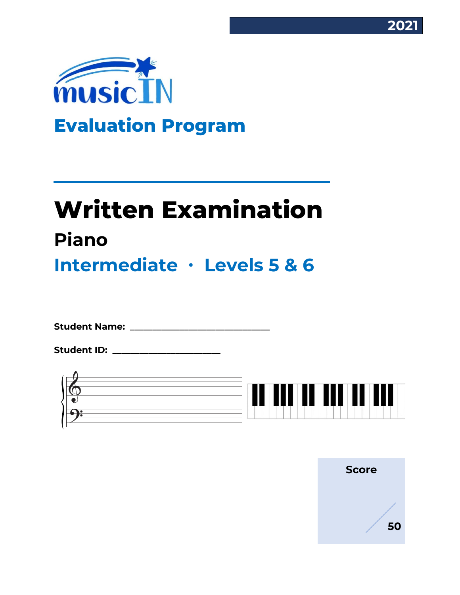



# **Written Examination Piano**

**Intermediate ∙ Levels 5 & 6**

**Student Name: \_\_\_\_\_\_\_\_\_\_\_\_\_\_\_\_\_\_\_\_\_\_\_\_\_\_\_\_\_\_\_**

**Student ID: \_\_\_\_\_\_\_\_\_\_\_\_\_\_\_\_\_\_\_\_\_\_\_\_**



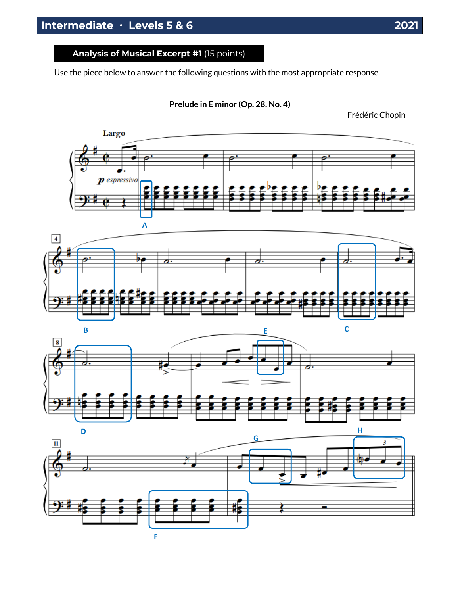Use the piece below to answer the following questions with the most appropriate response.

**Prelude in E minor (Op. 28, No. 4)**

Frédéric Chopin







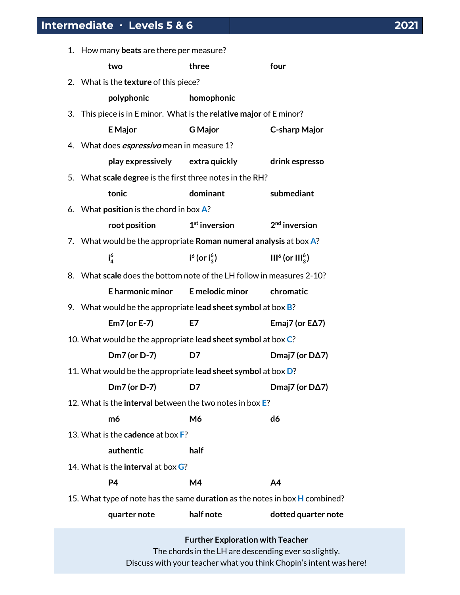| 1. How many beats are there per measure?                                    |                                                                       |                           |                           |  |  |
|-----------------------------------------------------------------------------|-----------------------------------------------------------------------|---------------------------|---------------------------|--|--|
|                                                                             | two                                                                   | three                     | four                      |  |  |
|                                                                             | 2. What is the texture of this piece?                                 |                           |                           |  |  |
|                                                                             | polyphonic                                                            | homophonic                |                           |  |  |
|                                                                             | 3. This piece is in E minor. What is the relative major of E minor?   |                           |                           |  |  |
|                                                                             | <b>E</b> Major                                                        | <b>G</b> Major            | <b>C-sharp Major</b>      |  |  |
|                                                                             | 4. What does <i>espressivo</i> mean in measure 1?                     |                           |                           |  |  |
|                                                                             | play expressively extra quickly                                       |                           | drink espresso            |  |  |
|                                                                             | 5. What scale degree is the first three notes in the RH?              |                           |                           |  |  |
|                                                                             | tonic                                                                 | dominant                  | submediant                |  |  |
|                                                                             | 6. What position is the chord in box A?                               |                           |                           |  |  |
|                                                                             | root position                                                         | $1st$ inversion           | 2 <sup>nd</sup> inversion |  |  |
|                                                                             | 7. What would be the appropriate Roman numeral analysis at box $A$ ?  |                           |                           |  |  |
|                                                                             | $i_4^6$                                                               | $i^{6}$ (or $i_{3}^{6}$ ) | $III6$ (or $III36$ )      |  |  |
|                                                                             | 8. What scale does the bottom note of the LH follow in measures 2-10? |                           |                           |  |  |
|                                                                             | E harmonic minor                                                      | E melodic minor           | chromatic                 |  |  |
|                                                                             | 9. What would be the appropriate lead sheet symbol at box $B$ ?       |                           |                           |  |  |
|                                                                             | Em7 (or E-7)                                                          | E7                        | Emaj7 (or $E\Delta$ 7)    |  |  |
|                                                                             | 10. What would be the appropriate lead sheet symbol at box C?         |                           |                           |  |  |
|                                                                             | Dm7 (or D-7)                                                          | D7                        | Dmaj7 (or $D\Delta$ 7)    |  |  |
|                                                                             | 11. What would be the appropriate lead sheet symbol at box D?         |                           |                           |  |  |
|                                                                             | Dm7 (or D-7)                                                          | D7                        | Dmaj7 (or DA7)            |  |  |
| 12. What is the interval between the two notes in box E?                    |                                                                       |                           |                           |  |  |
|                                                                             | m6                                                                    | M6                        | d6                        |  |  |
|                                                                             | 13. What is the <b>cadence</b> at box <b>F</b> ?                      |                           |                           |  |  |
|                                                                             | authentic                                                             | half                      |                           |  |  |
|                                                                             | 14. What is the <b>interval</b> at box <b>G</b> ?                     |                           |                           |  |  |
|                                                                             | P4                                                                    | M4                        | A4                        |  |  |
| 15. What type of note has the same duration as the notes in box H combined? |                                                                       |                           |                           |  |  |
|                                                                             | quarter note                                                          | half note                 | dotted quarter note       |  |  |
|                                                                             |                                                                       |                           |                           |  |  |

**Further Exploration with Teacher** The chords in the LH are descending ever so slightly. Discuss with your teacher what you think Chopin's intent was here!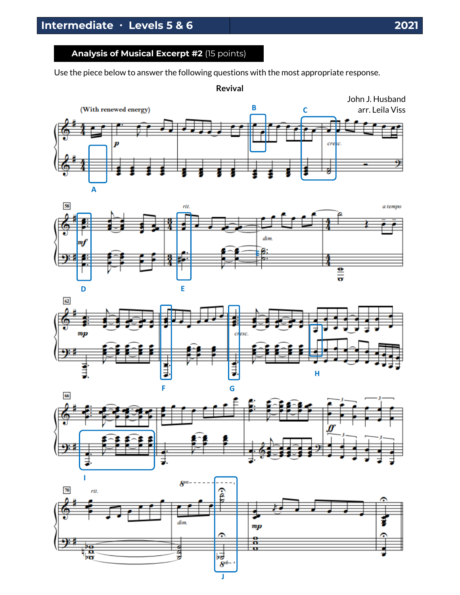### **Analysis of Musical Excerpt #2** (15 points)

Use the piece below to answer the following questions with the most appropriate response.









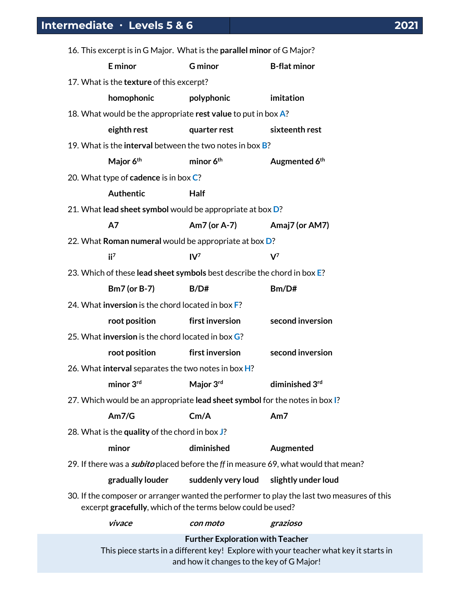| 16. This excerpt is in G Major. What is the parallel minor of G Major?                                                                                    |                                                                         |                       |                           |  |  |
|-----------------------------------------------------------------------------------------------------------------------------------------------------------|-------------------------------------------------------------------------|-----------------------|---------------------------|--|--|
|                                                                                                                                                           | E minor                                                                 | <b>G</b> minor        | <b>B-flat minor</b>       |  |  |
| 17. What is the texture of this excerpt?                                                                                                                  |                                                                         |                       |                           |  |  |
|                                                                                                                                                           | homophonic                                                              | polyphonic            | imitation                 |  |  |
| 18. What would be the appropriate rest value to put in box A?                                                                                             |                                                                         |                       |                           |  |  |
|                                                                                                                                                           | eighth rest                                                             | quarter rest          | sixteenth rest            |  |  |
| 19. What is the <b>interval</b> between the two notes in box <b>B</b> ?                                                                                   |                                                                         |                       |                           |  |  |
|                                                                                                                                                           | Major 6 <sup>th</sup>                                                   | minor 6 <sup>th</sup> | Augmented 6 <sup>th</sup> |  |  |
|                                                                                                                                                           | 20. What type of cadence is in box C?                                   |                       |                           |  |  |
|                                                                                                                                                           | Authentic                                                               | Half                  |                           |  |  |
|                                                                                                                                                           | 21. What lead sheet symbol would be appropriate at box D?               |                       |                           |  |  |
|                                                                                                                                                           | A7                                                                      | Am7 (or A-7)          | Amaj7 (or AM7)            |  |  |
|                                                                                                                                                           | 22. What Roman numeral would be appropriate at box D?                   |                       |                           |  |  |
|                                                                                                                                                           | $ii^7$                                                                  | $IV^7$                | $V^7$                     |  |  |
|                                                                                                                                                           | 23. Which of these lead sheet symbols best describe the chord in box E? |                       |                           |  |  |
|                                                                                                                                                           | <b>Bm7</b> (or B-7)                                                     | B/D#                  | Bm/D#                     |  |  |
|                                                                                                                                                           | 24. What inversion is the chord located in box F?                       |                       |                           |  |  |
|                                                                                                                                                           | root position                                                           | first inversion       | second inversion          |  |  |
|                                                                                                                                                           | 25. What <b>inversion</b> is the chord located in box G?                |                       |                           |  |  |
|                                                                                                                                                           | root position                                                           | first inversion       | second inversion          |  |  |
| 26. What interval separates the two notes in box H?                                                                                                       |                                                                         |                       |                           |  |  |
|                                                                                                                                                           | minor 3rd                                                               | Major 3rd             | diminished 3rd            |  |  |
| 27. Which would be an appropriate lead sheet symbol for the notes in box I?                                                                               |                                                                         |                       |                           |  |  |
|                                                                                                                                                           | Am7/G                                                                   | Cm/A                  | Am7                       |  |  |
| 28. What is the quality of the chord in box J?                                                                                                            |                                                                         |                       |                           |  |  |
|                                                                                                                                                           | minor                                                                   | diminished            | Augmented                 |  |  |
| 29. If there was a <i>subito</i> placed before the ff in measure 69, what would that mean?                                                                |                                                                         |                       |                           |  |  |
|                                                                                                                                                           | gradually louder                                                        | suddenly very loud    | slightly under loud       |  |  |
| 30. If the composer or arranger wanted the performer to play the last two measures of this<br>excerpt gracefully, which of the terms below could be used? |                                                                         |                       |                           |  |  |
|                                                                                                                                                           | vivace                                                                  | con moto              | grazioso                  |  |  |
| <b>Further Exploration with Teacher</b>                                                                                                                   |                                                                         |                       |                           |  |  |

This piece starts in a different key! Explore with your teacher what key it starts in and how it changes to the key of G Major!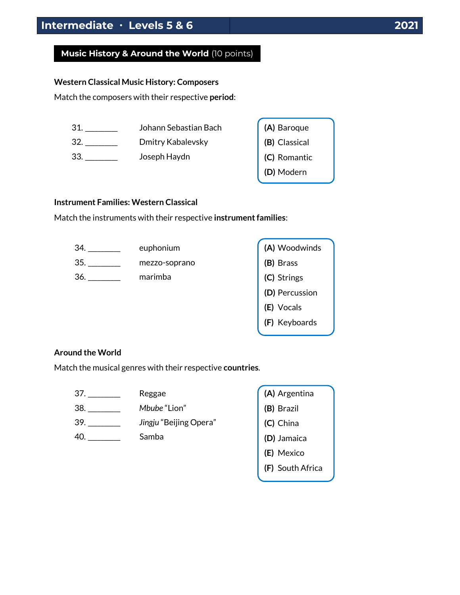## **Music History & Around the World** (10 points)

#### **Western Classical Music History: Composers**

Match the composers with their respective **period**:

31. \_\_\_\_\_\_\_\_\_\_ Johann Sebastian Bach 32. \_\_\_\_\_\_\_\_\_\_\_\_ Dmitry Kabalevsky 33. \_\_\_\_\_\_\_\_\_\_ Joseph Haydn **(A)** Baroque **(B)** Classical **(C)** Romantic **(D)** Modern

#### **Instrument Families: Western Classical**

Match the instruments with their respective **instrument families**:



#### **Around the World**

Match the musical genres with their respective **countries**.

| 37. | Reggae                 |
|-----|------------------------|
| 38. | Mbube "Lion"           |
| 39. | Jingju "Beijing Opera" |
| 40. | Samba                  |
|     |                        |

| (A) Argentina    |
|------------------|
| (B) Brazil       |
| (C) China        |
| (D) Jamaica      |
| (E) Mexico       |
| (F) South Africa |